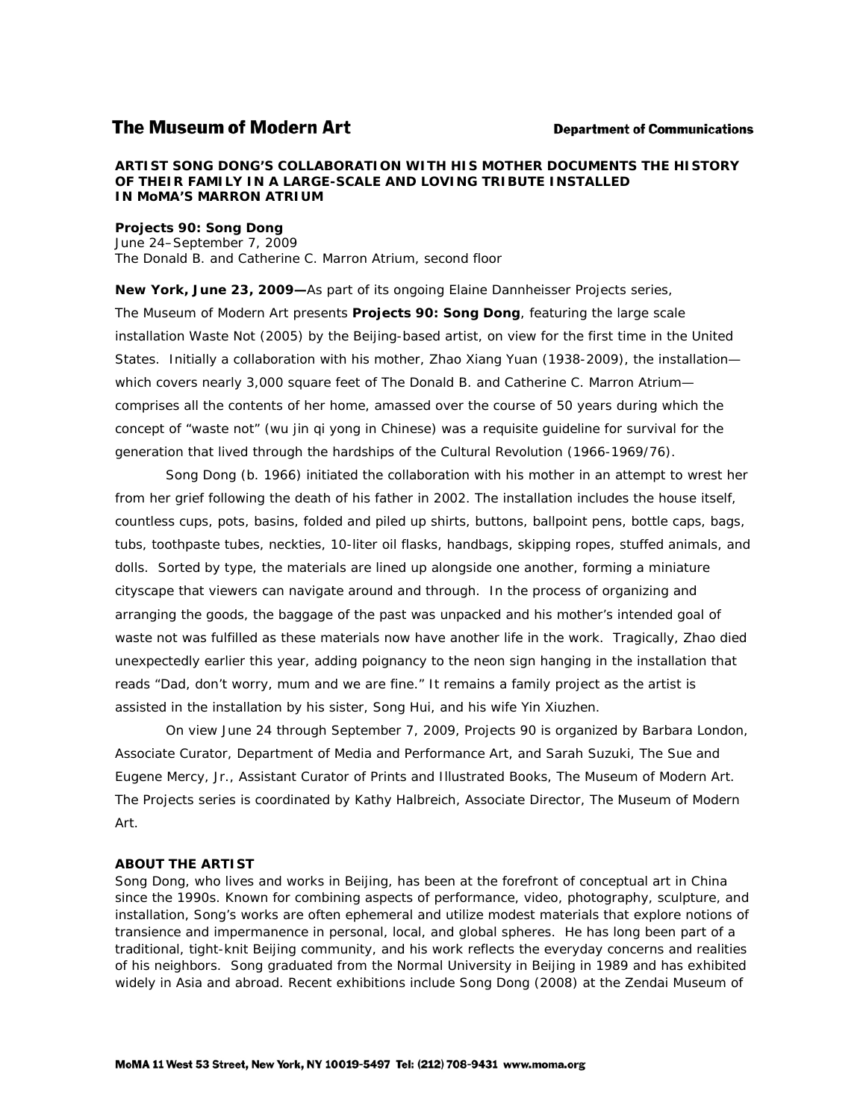# **The Museum of Modern Art**

#### **Department of Communications**

### **ARTIST SONG DONG'S COLLABORATION WITH HIS MOTHER DOCUMENTS THE HISTORY OF THEIR FAMILY IN A LARGE-SCALE AND LOVING TRIBUTE INSTALLED IN MoMA'S MARRON ATRIUM**

### *Projects 90: Song Dong*

June 24–September 7, 2009 The Donald B. and Catherine C. Marron Atrium, second floor

**New York, June 23, 2009—**As part of its ongoing Elaine Dannheisser Projects series, The Museum of Modern Art presents *Projects 90: Song Dong*, featuring the large scale installation *Waste Not* (2005) by the Beijing-based artist, on view for the first time in the United States. Initially a collaboration with his mother, Zhao Xiang Yuan (1938-2009), the installation which covers nearly 3,000 square feet of The Donald B. and Catherine C. Marron Atriumcomprises all the contents of her home, amassed over the course of 50 years during which the concept of "waste not" (*wu jin qi yong* in Chinese) was a requisite guideline for survival for the generation that lived through the hardships of the Cultural Revolution (1966-1969/76).

Song Dong (b. 1966) initiated the collaboration with his mother in an attempt to wrest her from her grief following the death of his father in 2002. The installation includes the house itself, countless cups, pots, basins, folded and piled up shirts, buttons, ballpoint pens, bottle caps, bags, tubs, toothpaste tubes, neckties, 10-liter oil flasks, handbags, skipping ropes, stuffed animals, and dolls. Sorted by type, the materials are lined up alongside one another, forming a miniature cityscape that viewers can navigate around and through. In the process of organizing and arranging the goods, the baggage of the past was unpacked and his mother's intended goal of *waste not* was fulfilled as these materials now have another life in the work. Tragically, Zhao died unexpectedly earlier this year, adding poignancy to the neon sign hanging in the installation that reads "Dad, don't worry, mum and we are fine." It remains a family project as the artist is assisted in the installation by his sister, Song Hui, and his wife Yin Xiuzhen.

On view June 24 through September 7, 2009, *Projects 90* is organized by Barbara London, Associate Curator, Department of Media and Performance Art, and Sarah Suzuki, The Sue and Eugene Mercy, Jr., Assistant Curator of Prints and Illustrated Books, The Museum of Modern Art. The Projects series is coordinated by Kathy Halbreich, Associate Director, The Museum of Modern Art.

#### **ABOUT THE ARTIST**

Song Dong, who lives and works in Beijing, has been at the forefront of conceptual art in China since the 1990s. Known for combining aspects of performance, video, photography, sculpture, and installation, Song's works are often ephemeral and utilize modest materials that explore notions of transience and impermanence in personal, local, and global spheres. He has long been part of a traditional, tight-knit Beijing community, and his work reflects the everyday concerns and realities of his neighbors. Song graduated from the Normal University in Beijing in 1989 and has exhibited widely in Asia and abroad. Recent exhibitions include *Song Dong* (2008) at the Zendai Museum of